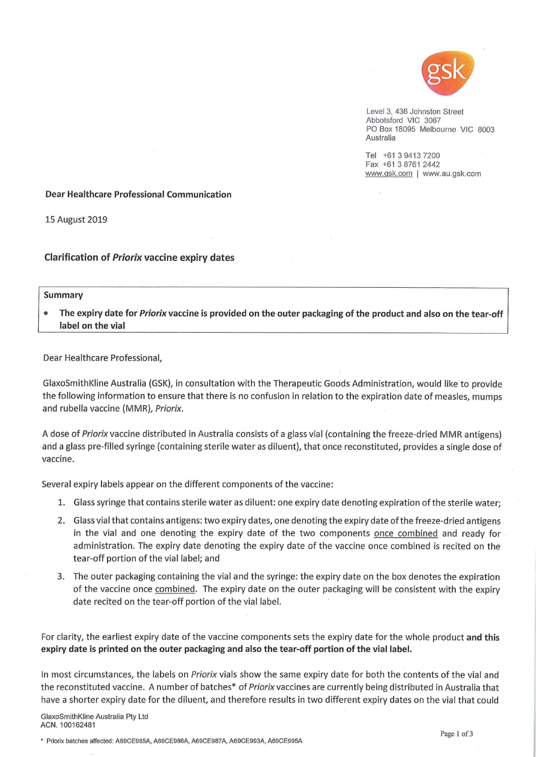

Level 3, 436 Johnston Street Abbotsford VIC 3067 PO Box 18095 Melbourne VIC 8003 Australia

Tel +61 3 9413 7200 Fax +61 3 8761 2442 www.gsk.com | www.au.gsk.com

## **Dear Healthcare Professional Communication**

**15 August 2019** 

## **Clarification of Priorix vaccine expiry dates**

## **Summary**

The expiry date for Priorix vaccine is provided on the outer packaging of the product and also on the tear-off label on the vial

Dear Healthcare Professional,

GlaxoSmithKline Australia (GSK), in consultation with the Therapeutic Goods Administration, would like to provide the following information to ensure that there is no confusion in relation to the expiration date of measles, mumps and rubella vaccine (MMR), Priorix.

A dose of Priorix vaccine distributed in Australia consists of a glass vial (containing the freeze-dried MMR antigens) and a glass pre-filled syringe (containing sterile water as diluent), that once reconstituted, provides a single dose of vaccine.

Several expiry labels appear on the different components of the vaccine:

- 1. Glass syringe that contains sterile water as diluent: one expiry date denoting expiration of the sterile water;
- 2. Glass vial that contains antigens: two expiry dates, one denoting the expiry date of the freeze-dried antigens in the vial and one denoting the expiry date of the two components once combined and ready for administration. The expiry date denoting the expiry date of the vaccine once combined is recited on the tear-off portion of the vial label; and
- 3. The outer packaging containing the vial and the syringe: the expiry date on the box denotes the expiration of the vaccine once combined. The expiry date on the outer packaging will be consistent with the expiry date recited on the tear-off portion of the vial label.

For clarity, the earliest expiry date of the vaccine components sets the expiry date for the whole product and this expiry date is printed on the outer packaging and also the tear-off portion of the vial label.

In most circumstances, the labels on Priorix vials show the same expiry date for both the contents of the vial and the reconstituted vaccine. A number of batches\* of Priorix vaccines are currently being distributed in Australia that have a shorter expiry date for the diluent, and therefore results in two different expiry dates on the vial that could

GlaxoSmithKline Australia Pty Ltd ACN. 100162481

\* Priorix batches affected: A69CE985A, A69CE986A, A69CE987A, A69CE993A, A69CE995A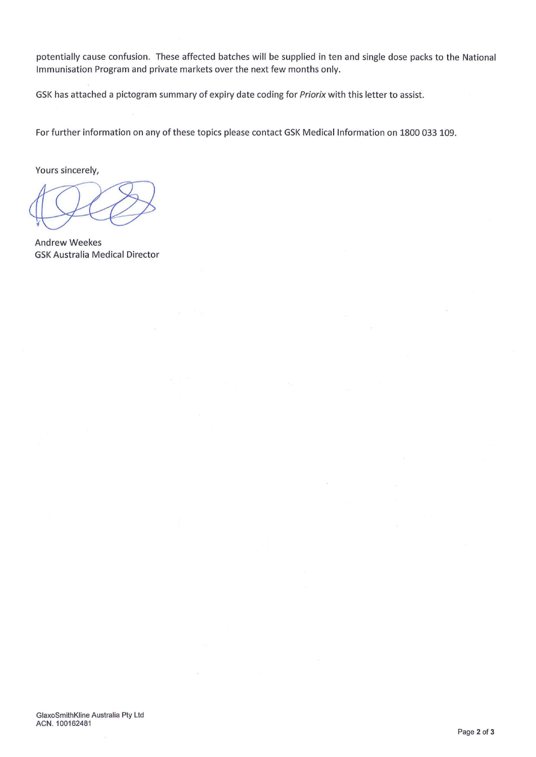potentially cause confusion. These affected batches will be supplied in ten and single dose packs to the National Immunisation Program and private markets over the next few months only.

GSK has attached a pictogram summary of expiry date coding for Priorix with this letter to assist.

For further information on any of these topics please contact GSK Medical Information on 1800 033 109.

Yours sincerely,

**Andrew Weekes GSK Australia Medical Director**